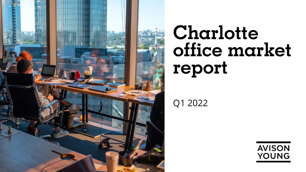

# **Charlotte office market report**

Q1 2022

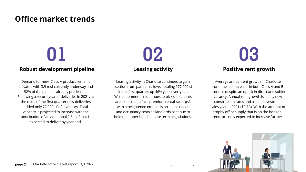## **Office market trends**

### **Robust development pipeline**

Demand for new, Class A product remains elevated with 3.9 msf currently underway and 52% of the pipeline already pre-leased. Following a record year of deliveries in 2021, at the close of the first quarter new deliveries added only 72,000 sf of inventory. Total vacancy is projected to increase with the anticipation of an additional 2.6 msf that is expected to deliver by year end.

**Leasing activity**

Leasing activity in Charlotte continues to gain traction from pandemic lows, totaling 977,000 sf in the first quarter, up 46% year-over-year. While momentum continues to pick up, tenants are expected to face premium rental rates psf, with a heightened emphasis on space needs and occupancy costs as landlords continue to hold the upper hand in lease term negotiations.

**01 02 03 Positive rent growth**

> Average annual rent growth in Charlotte continues to increase, in both Class A and B product, despite an uptick in direct and sublet vacancy. Annual rent growth is led by new construction rates and a solid investment sales year in 2021 (\$2.7B). With the amount of trophy office supply that is on the horizon, rents are only expected to increase further.

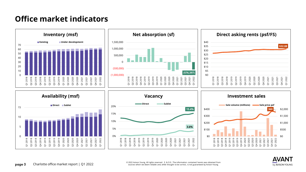## **Office market indicators**





**page 3** Charlotte office market report | Q1 2022 © 2022 Avison Young. All rights reserved. E. & O.E.: The information contained herein was obtained from sources which we deem reliable and, while thought to be correct, is not guaranteed by Avison Young.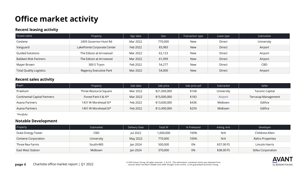## **Office market activity**

#### **Recent leasing activity**

| Tenant name                    | Property                    | Sign date | <b>Size</b> | Transaction type | Lease type | Submarket  |
|--------------------------------|-----------------------------|-----------|-------------|------------------|------------|------------|
| Centene                        | 2405 Governor Hunt Rd       | Mar 2022  | 770,000     | New              | Direct     | University |
| Vanguard                       | LakePointe Corporate Center | Feb 2022  | 83,983      | <b>New</b>       | Direct     | Airport    |
| Guided Solutions               | The Edison at Arrowood      | Mar 2022  | 62,123      | New              | Direct     | Airport    |
| <b>Baldwin Risk Partners</b>   | The Edison at Arrowood      | Mar 2022  | 61,099      | <b>New</b>       | Direct     | Airport    |
| Mayer Brown                    | 300 S Tryon                 | Feb 2022  | 54,277      | New              | Direct     | CBD        |
| <b>Total Quality Logistics</b> | Regency Executive Park      | Mar 2022  | 54,000      | <b>New</b>       | Direct     | Airport    |

#### **Recent sales activity**

| Buyer                               | Property              | Sale date | Sale price   | Sale price psf | Submarket  | Seller                 |  |  |
|-------------------------------------|-----------------------|-----------|--------------|----------------|------------|------------------------|--|--|
| Praelium                            | Three Resource Square | Mar 2022  | \$21,000,000 | \$168          | University | <b>Taconic Capital</b> |  |  |
| <b>Continental Capital Partners</b> | Forest Park II & III* | Mar 2022  | \$15,000,000 | \$183          | Airport    | Terracap Management    |  |  |
| Asana Partners                      | 1431 W Morehead St*   | Feb 2022  | \$13,600,000 | \$436          | Midtown    | Edifice                |  |  |
| Asana Partners                      | 1401 W Morehead St*   | Feb 2022  | \$12,400,000 | \$259          | Midtown    | Edifice                |  |  |

*\*Portfolio*

#### **Notable Development**

| Property            | Submarket  | Delivery Date | <b>Total SF</b> | % Preleased | Asking rent | Developer                 |  |
|---------------------|------------|---------------|-----------------|-------------|-------------|---------------------------|--|
| Duke Energy Tower   | CBD        | Jul 2022      | 000,000, ا      | 100%        | N/A         | Childress Klein           |  |
| Centene Corporation | University | May 2022      | 770,000         | 100%        | N/A         | Rafco Properties          |  |
| Three Rea Farms     | South/485  | Jan 2024      | 500,000         | 0%          | \$37.00 FS  | Lincoln Harris            |  |
| East West Station   | Midtown    | Jan 2024      | 370,000         | 0%          | \$38,00 FS  | <b>Stiles Corporation</b> |  |

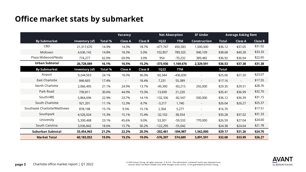## **Office market stats by submarket**

|                              |                       | <b>Vacancy</b> |                |                |             | <b>Net Absorption</b><br><b>SF Under</b> |                          | <b>Average Asking Rent</b> |                |                |
|------------------------------|-----------------------|----------------|----------------|----------------|-------------|------------------------------------------|--------------------------|----------------------------|----------------|----------------|
| <b>By Submarket</b>          | Inventory (sf)        | <b>Total %</b> | <b>Class A</b> | <b>Class B</b> | <b>1Q22</b> | <b>TTM</b>                               | <b>Construction</b>      | <b>Total</b>               | <b>Class A</b> | <b>Class B</b> |
| CBD                          | 21,317,670            | 14.9%          | 14.3%          | 18.7%          | $-477,747$  | 450,583                                  | 1,000,000                | \$36.12                    | \$37.05        | \$31.02        |
| Midtown                      | 4,636,142             | 14.8%          | 18.3%          | 5.0%           | 102,857     | 789,325                                  | 940,109                  | \$38.68                    | \$40.28        | \$33.33        |
| Plaza Midwood/Noda           | 774,277               | 62.0%          | 69.9%          | 3.0%           | 954         | $-70,232$                                | 389,482                  | \$36.92                    | \$36.94        | \$22.65        |
| Urban Subtotal               | 26,728,089            | 16.1%          | 16.5%          | 15.2%          | $-373,936$  | 1,169,676                                | 2,329,591                | \$36.53                    | \$37.38        | \$31.38        |
| <b>By Submarket</b>          | <b>Inventory (sf)</b> | <b>Total %</b> | <b>Class A</b> | <b>Class B</b> | <b>1Q22</b> | <b>TTM</b>                               |                          | <b>Total</b>               |                |                |
| Airport                      | 9,244,563             | 24.1%          | 18.0%          | 36.0%          | 60,344      | $-436,830$                               |                          | \$25.06                    | \$27.20        | \$23.07        |
| <b>East Charlotte</b>        | 846,665               | 17.4%          | $\sim$         | 18.4%          | 7,231       | 55,389                                   | $\overline{\phantom{a}}$ | \$17.16                    | $\blacksquare$ | \$17.55        |
| North Charlotte              | 2,066,495             | 21.1%          | 24.9%          | 13.7%          | $-49,390$   | $-83,215$                                | 292,000                  | \$29.35                    | \$29.51        | \$28.76        |
| Park Road                    | 739,811               | 30.6%          | 44.9%          | 19.3%          | 13,699      | 21,220                                   |                          | \$35.41                    | \$36.99        | \$32.76        |
| South/485                    | 5,864,696             | 22.9%          | 23.7%          | 14.1%          | $-132,336$  | $-82,547$                                | 500,000                  | \$36.12                    | \$36.39        | \$31.15        |
| South Charlotte              | 921,201               | 11.1%          | 12.3%          | 8.7%           | $-3,217$    | 1,740                                    | $\overline{\phantom{a}}$ | \$26.04                    | \$26.27        | \$25.37        |
| Southeast Charlotte/Matthews | 878,198               | 15.1%          | 9.5%           | 15.1%          | 2,304       | 5,277                                    | $\overline{\phantom{a}}$ | \$16.70                    | $\sim$         | \$17.51        |
| Southpark                    | 4,526,024             | 15.3%          | 15.1%          | 15.4%          | $-32,102$   | 38,554                                   | $\overline{\phantom{a}}$ | \$35.28                    | \$37.02        | \$31.33        |
| University                   | 5,330,468             | 23.1%          | 45.6%          | 9.0%           | 53,301      | $-59,533$                                | 770,000                  | \$26.59                    | \$27.04        | \$24.60        |
| South Carolina               | 3,036,842             | 18.6%          | 15.7%          | 30.2%          | $-122,295$  | $-55,042$                                |                          | \$24.38                    | \$24.64        | \$21.78        |
| Suburban Subtotal            | 33,454,963            | 21.2%          | 22.2%          | 20.3%          | $-202,461$  | $-594,987$                               | 1,562,000                | \$29.17                    | \$31.26        | \$24.70        |
| <b>Market Total</b>          | 60,183,052            | 19.0%          | 19.2%          | 19.0%          | $-576,397$  | 574,689                                  | 3,891,591                | \$32.08                    | \$33.99        | \$26.27        |